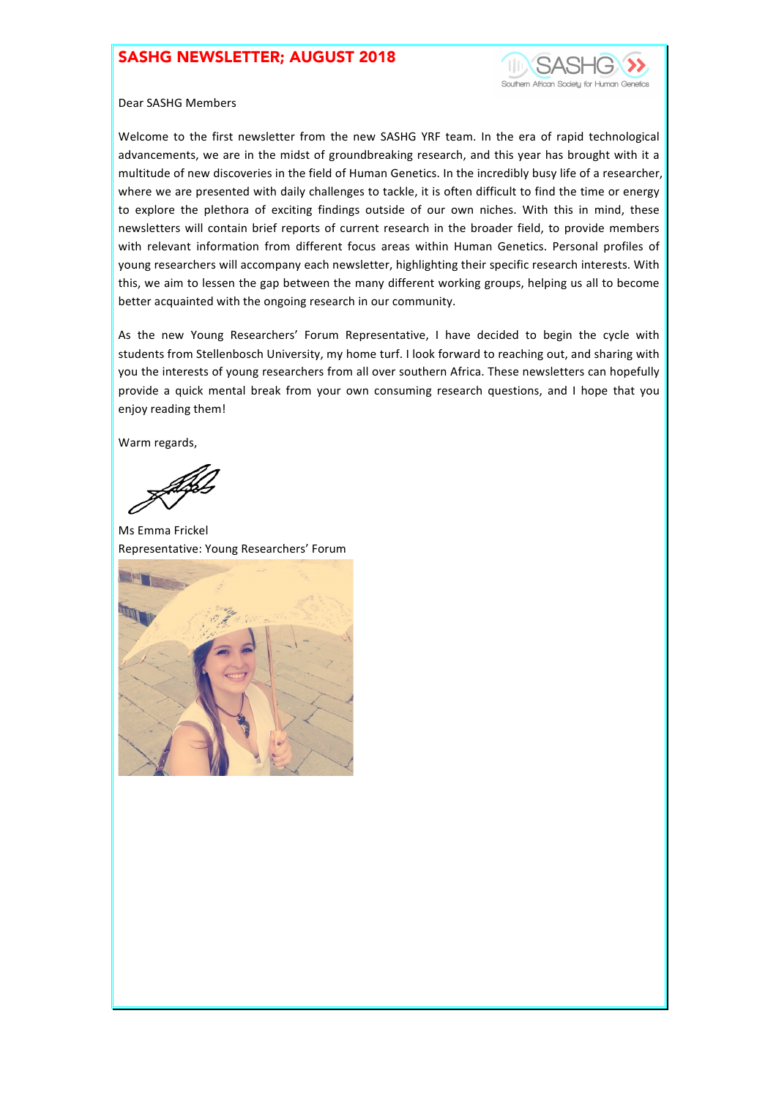## SASHG NEWSLETTER; AUGUST 2018



#### Dear SASHG Members

Welcome to the first newsletter from the new SASHG YRF team. In the era of rapid technological advancements, we are in the midst of groundbreaking research, and this year has brought with it a multitude of new discoveries in the field of Human Genetics. In the incredibly busy life of a researcher, where we are presented with daily challenges to tackle, it is often difficult to find the time or energy to explore the plethora of exciting findings outside of our own niches. With this in mind, these newsletters will contain brief reports of current research in the broader field, to provide members with relevant information from different focus areas within Human Genetics. Personal profiles of young researchers will accompany each newsletter, highlighting their specific research interests. With this, we aim to lessen the gap between the many different working groups, helping us all to become better acquainted with the ongoing research in our community.

As the new Young Researchers' Forum Representative, I have decided to begin the cycle with students from Stellenbosch University, my home turf. I look forward to reaching out, and sharing with you the interests of young researchers from all over southern Africa. These newsletters can hopefully provide a quick mental break from your own consuming research questions, and I hope that you enjoy reading them!

Warm regards,

Ms Emma Frickel Representative: Young Researchers' Forum

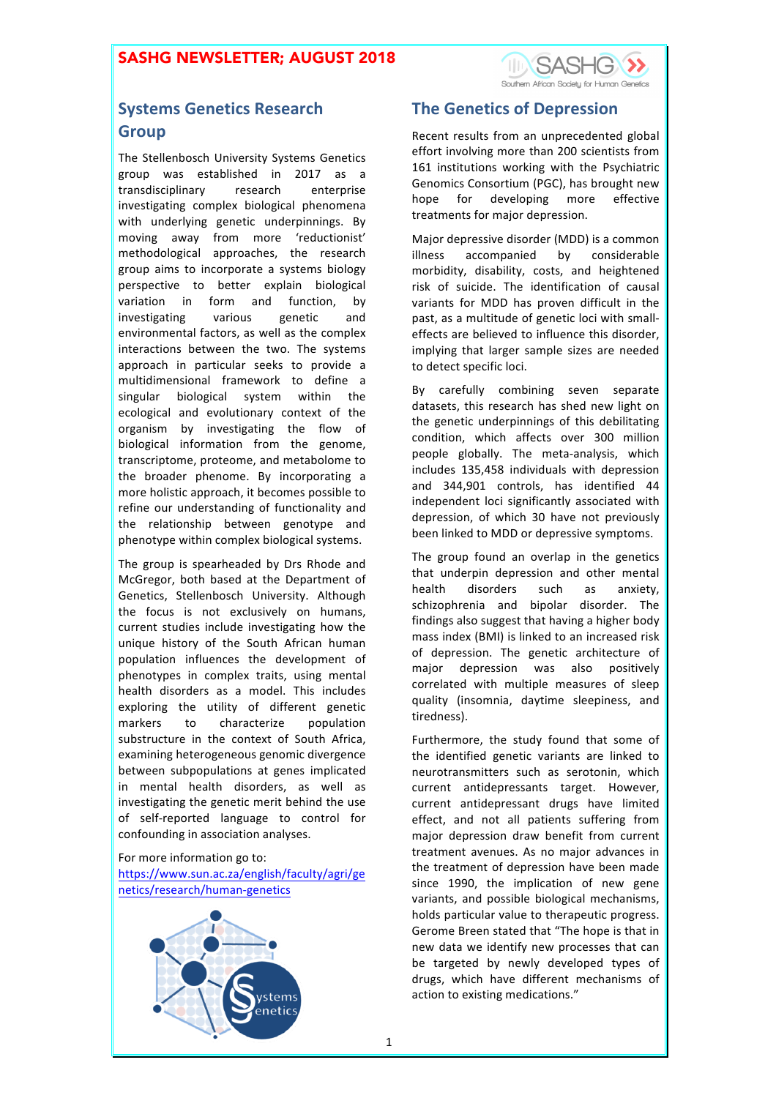

# **Systems Genetics Research Group**

The Stellenbosch University Systems Genetics group was established in 2017 as a transdisciplinary research enterprise investigating complex biological phenomena with underlying genetic underpinnings. By moving away from more 'reductionist' methodological approaches, the research group aims to incorporate a systems biology perspective to better explain biological variation in form and function, by investigating various genetic and environmental factors, as well as the complex interactions between the two. The systems approach in particular seeks to provide a multidimensional framework to define a singular biological system within the ecological and evolutionary context of the organism by investigating the flow of biological information from the genome, transcriptome, proteome, and metabolome to the broader phenome. By incorporating a more holistic approach, it becomes possible to refine our understanding of functionality and the relationship between genotype and phenotype within complex biological systems.

The group is spearheaded by Drs Rhode and McGregor, both based at the Department of Genetics, Stellenbosch University. Although the focus is not exclusively on humans, current studies include investigating how the unique history of the South African human population influences the development of phenotypes in complex traits, using mental health disorders as a model. This includes exploring the utility of different genetic markers to characterize population substructure in the context of South Africa. examining heterogeneous genomic divergence between subpopulations at genes implicated in mental health disorders, as well as investigating the genetic merit behind the use of self-reported language to control for confounding in association analyses.

For more information go to:

https://www.sun.ac.za/english/faculty/agri/ge netics/research/human-genetics



## **The Genetics of Depression**

Recent results from an unprecedented global effort involving more than 200 scientists from 161 institutions working with the Psychiatric Genomics Consortium (PGC), has brought new hope for developing more effective treatments for major depression.

Major depressive disorder (MDD) is a common illness accompanied by considerable morbidity, disability, costs, and heightened risk of suicide. The identification of causal variants for MDD has proven difficult in the past, as a multitude of genetic loci with smalleffects are believed to influence this disorder, implying that larger sample sizes are needed to detect specific loci.

By carefully combining seven separate datasets, this research has shed new light on the genetic underpinnings of this debilitating condition, which affects over 300 million people globally. The meta-analysis, which includes 135,458 individuals with depression and 344,901 controls, has identified 44 independent loci significantly associated with depression, of which 30 have not previously been linked to MDD or depressive symptoms.

The group found an overlap in the genetics that underpin depression and other mental health disorders such as anxiety, schizophrenia and bipolar disorder. The findings also suggest that having a higher body mass index (BMI) is linked to an increased risk of depression. The genetic architecture of major depression was also positively correlated with multiple measures of sleep quality (insomnia, daytime sleepiness, and tiredness).

Furthermore, the study found that some of the identified genetic variants are linked to neurotransmitters such as serotonin, which current antidepressants target. However, current antidepressant drugs have limited effect, and not all patients suffering from major depression draw benefit from current treatment avenues. As no major advances in the treatment of depression have been made since 1990, the implication of new gene variants, and possible biological mechanisms, holds particular value to therapeutic progress. Gerome Breen stated that "The hope is that in new data we identify new processes that can be targeted by newly developed types of drugs, which have different mechanisms of action to existing medications."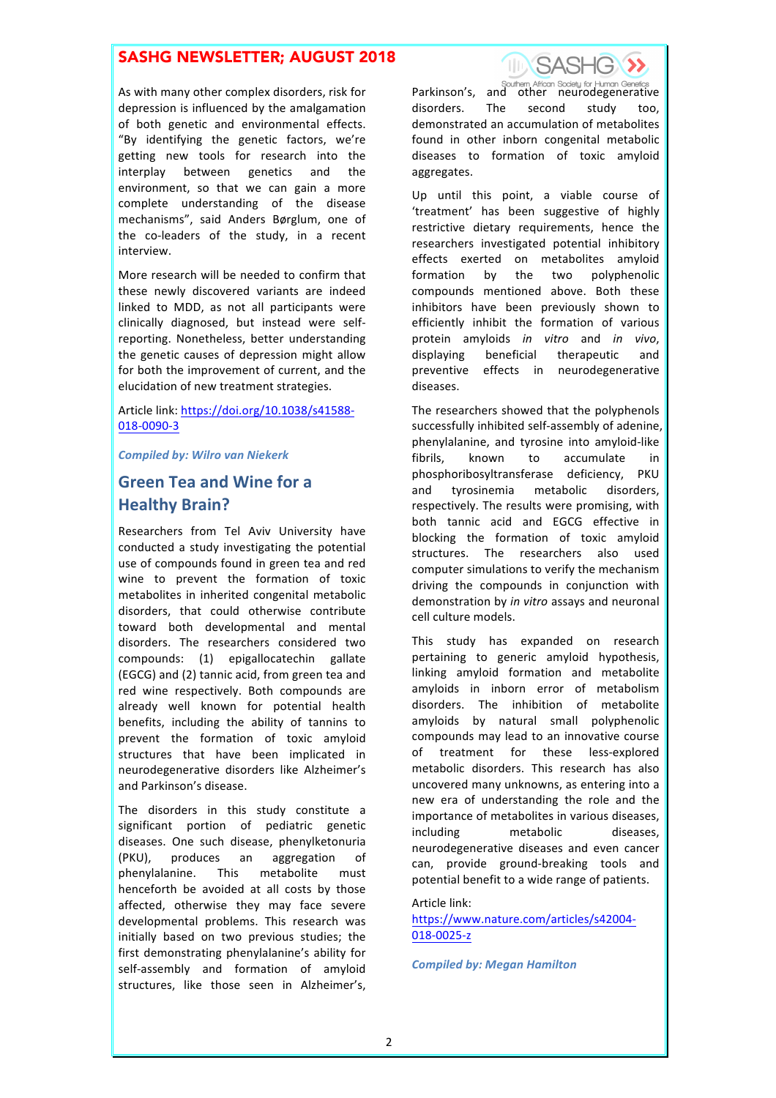## SASHG NEWSLETTER; AUGUST 2018

As with many other complex disorders, risk for depression is influenced by the amalgamation of both genetic and environmental effects. "By identifying the genetic factors, we're getting new tools for research into the interplay between genetics and the environment, so that we can gain a more complete understanding of the disease mechanisms", said Anders Børglum, one of the co-leaders of the study, in a recent interview.

More research will be needed to confirm that these newly discovered variants are indeed linked to MDD, as not all participants were clinically diagnosed, but instead were selfreporting. Nonetheless, better understanding the genetic causes of depression might allow for both the improvement of current, and the elucidation of new treatment strategies.

Article link: https://doi.org/10.1038/s41588-018-0090-3 

*Compiled by: Wilro van Niekerk*

# Green Tea and Wine for a **Healthy Brain?**

Researchers from Tel Aviv University have conducted a study investigating the potential use of compounds found in green tea and red wine to prevent the formation of toxic metabolites in inherited congenital metabolic disorders, that could otherwise contribute toward both developmental and mental disorders. The researchers considered two compounds: (1) epigallocatechin gallate (EGCG) and (2) tannic acid, from green tea and red wine respectively. Both compounds are already well known for potential health benefits, including the ability of tannins to prevent the formation of toxic amyloid structures that have been implicated in neurodegenerative disorders like Alzheimer's and Parkinson's disease.

The disorders in this study constitute a significant portion of pediatric genetic diseases. One such disease, phenylketonuria (PKU), produces an aggregation of phenylalanine. This metabolite must henceforth be avoided at all costs by those affected, otherwise they may face severe developmental problems. This research was initially based on two previous studies; the first demonstrating phenylalanine's ability for self-assembly and formation of amyloid structures, like those seen in Alzheimer's,



**Parkinson's, and other African Society for Human Genetics**<br>Parkinson's, and other neurodegenerative disorders. The second study too, demonstrated an accumulation of metabolites found in other inborn congenital metabolic diseases to formation of toxic amyloid aggregates. 

Up until this point, a viable course of 'treatment' has been suggestive of highly restrictive dietary requirements, hence the researchers investigated potential inhibitory effects exerted on metabolites amyloid formation by the two polyphenolic compounds mentioned above. Both these inhibitors have been previously shown to efficiently inhibit the formation of various protein amyloids *in vitro* and *in vivo*, displaying beneficial therapeutic and preventive effects in neurodegenerative diseases. 

The researchers showed that the polyphenols successfully inhibited self-assembly of adenine, phenylalanine, and tyrosine into amyloid-like fibrils, known to accumulate in phosphoribosyltransferase deficiency, PKU and tyrosinemia metabolic disorders, respectively. The results were promising, with both tannic acid and EGCG effective in blocking the formation of toxic amyloid structures. The researchers also used computer simulations to verify the mechanism driving the compounds in conjunction with demonstration by *in vitro* assays and neuronal cell culture models.

This study has expanded on research pertaining to generic amyloid hypothesis, linking amyloid formation and metabolite amyloids in inborn error of metabolism disorders. The inhibition of metabolite amyloids by natural small polyphenolic compounds may lead to an innovative course of treatment for these less-explored metabolic disorders. This research has also uncovered many unknowns, as entering into a new era of understanding the role and the importance of metabolites in various diseases, including metabolic diseases. neurodegenerative diseases and even cancer can, provide ground-breaking tools and potential benefit to a wide range of patients.

#### Article link:

https://www.nature.com/articles/s42004- 018-0025-z

*Compiled by: Megan Hamilton*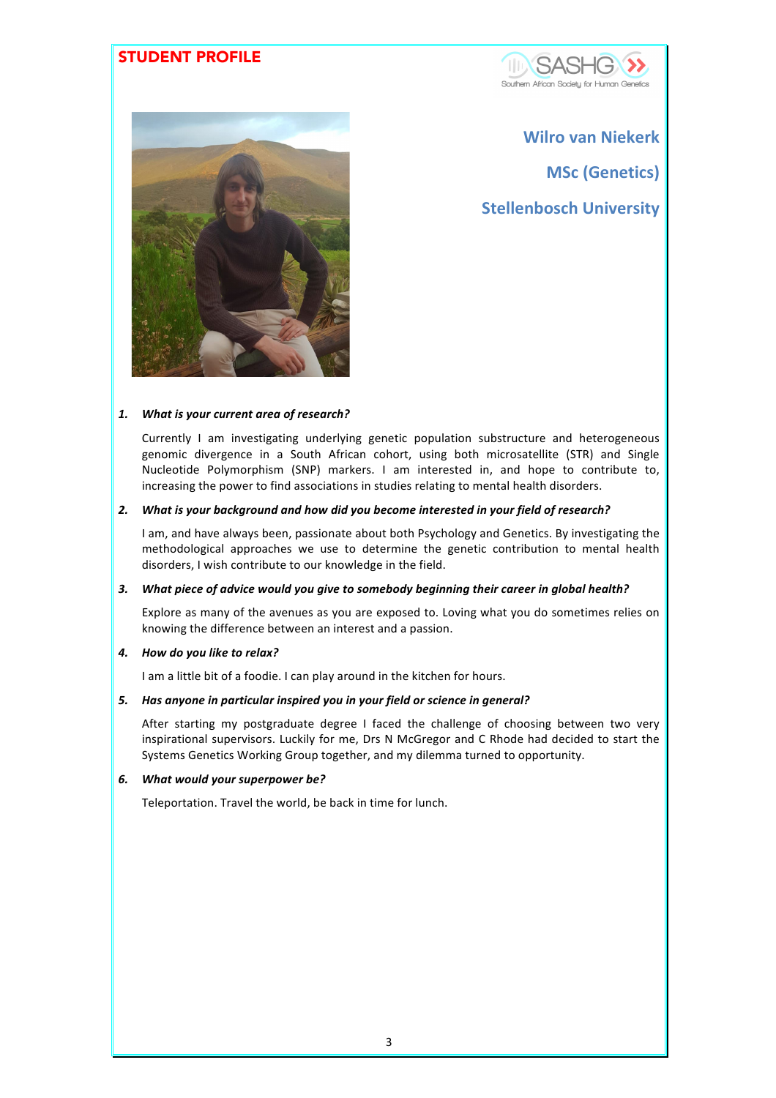## STUDENT PROFILE





**Wilro van Niekerk MSc (Genetics) Stellenbosch University**

#### 1. What is your current area of research?

Currently I am investigating underlying genetic population substructure and heterogeneous genomic divergence in a South African cohort, using both microsatellite (STR) and Single Nucleotide Polymorphism (SNP) markers. I am interested in, and hope to contribute to, increasing the power to find associations in studies relating to mental health disorders.

#### 2. What is your background and how did you become interested in your field of research?

I am, and have always been, passionate about both Psychology and Genetics. By investigating the methodological approaches we use to determine the genetic contribution to mental health disorders, I wish contribute to our knowledge in the field.

#### 3. What piece of advice would you give to somebody beginning their career in global health?

Explore as many of the avenues as you are exposed to. Loving what you do sometimes relies on knowing the difference between an interest and a passion.

### *4. How do you like to relax?*

I am a little bit of a foodie. I can play around in the kitchen for hours.

#### 5. Has anyone in particular inspired you in your field or science in general?

After starting my postgraduate degree I faced the challenge of choosing between two very inspirational supervisors. Luckily for me, Drs N McGregor and C Rhode had decided to start the Systems Genetics Working Group together, and my dilemma turned to opportunity.

#### *6. What would your superpower be?*

Teleportation. Travel the world, be back in time for lunch.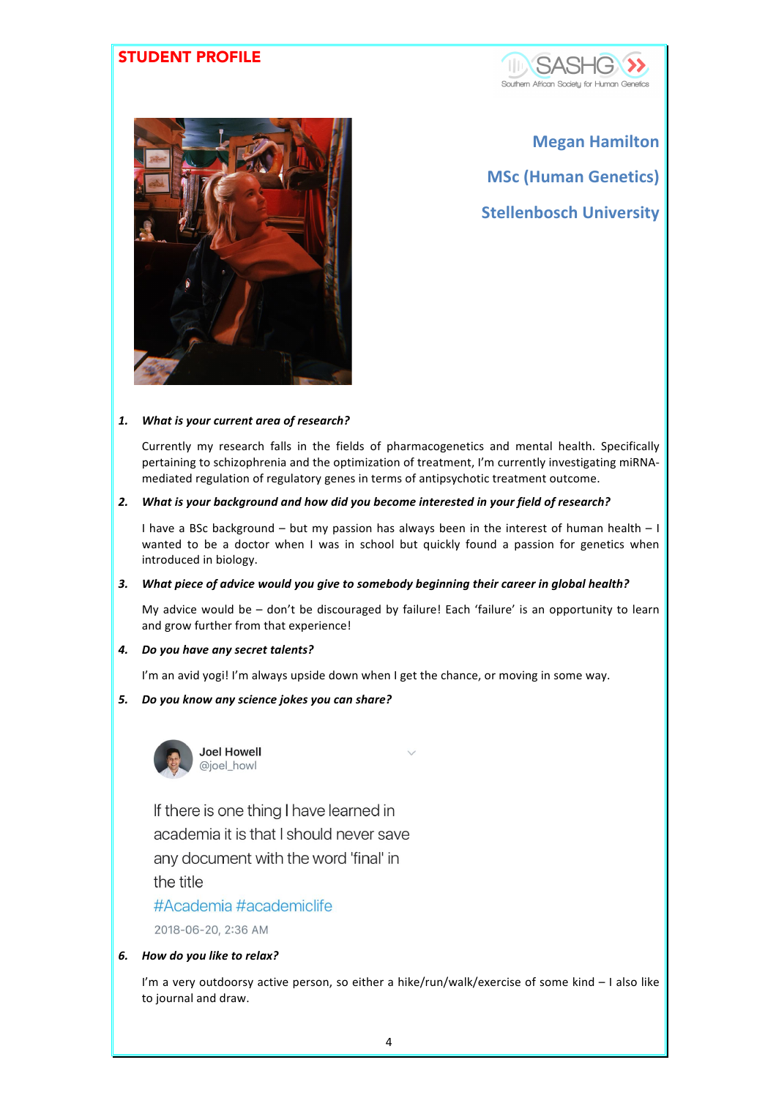## STUDENT PROFILE





**Megan Hamilton MSc (Human Genetics) Stellenbosch University**

### 1. What is your current area of research?

Currently my research falls in the fields of pharmacogenetics and mental health. Specifically pertaining to schizophrenia and the optimization of treatment, I'm currently investigating miRNAmediated regulation of regulatory genes in terms of antipsychotic treatment outcome.

#### 2. What is your background and how did you become interested in your field of research?

I have a BSc background  $-$  but my passion has always been in the interest of human health  $-1$ wanted to be a doctor when I was in school but quickly found a passion for genetics when introduced in biology.

## 3. What piece of advice would you give to somebody beginning their career in global health?

My advice would be  $-$  don't be discouraged by failure! Each 'failure' is an opportunity to learn and grow further from that experience!

## *4. Do you have any secret talents?*

I'm an avid yogi! I'm always upside down when I get the chance, or moving in some way.

## *5. Do you know any science jokes you can share?*



If there is one thing I have learned in academia it is that I should never save any document with the word 'final' in

the title

#Academia #academiclife

2018-06-20, 2:36 AM

## *6. How do you like to relax?*

I'm a very outdoorsy active person, so either a hike/run/walk/exercise of some kind - I also like to journal and draw.